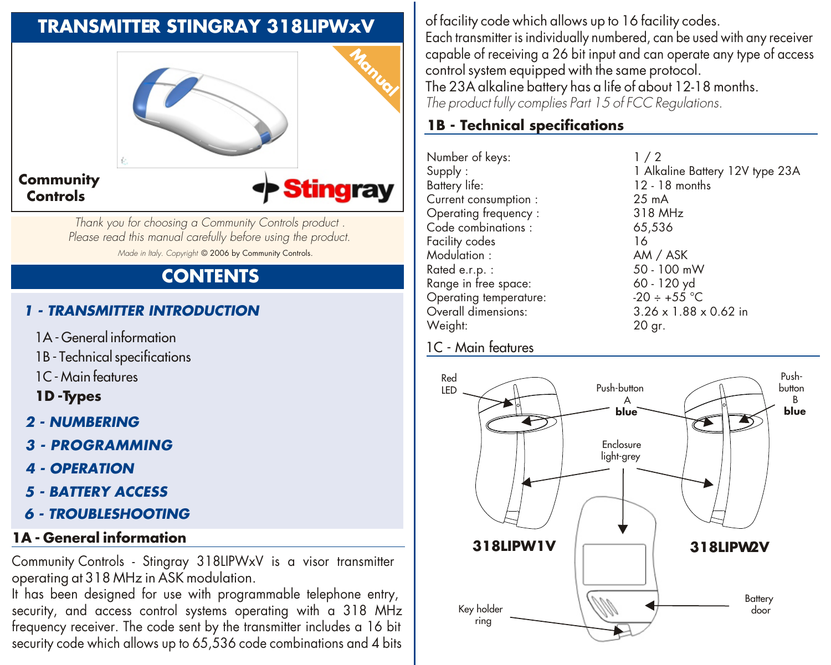## **TRANSMITTER STINGRAY 318LIPWxV**



*Thank you for choosing a Community Controls product . Please read this manual carefully before using the product. Made in Italy. Copyright* © 2006 by Community Controls.

# **CONTENTS**

### *1 - TRANSMITTER INTRODUCTION*

- 1A General information
- 1B Technical specifications
- 1C- Main features
- **1D -Types**
- *2 NUMBERING*
- *3 - PROGRAMMING*
- *4 OPERATION*
- *5 BATTERY ACCESS*
- *6 TROUBLESHOOTING*

### **1A - General information**

Community Controls - Stingray 318LIPWxV is a visor transmitter operating at 318 MHz in ASK modulation.

It has been designed for use with programmable telephone entry, security, and access control systems operating with a 318 MHz frequency receiver. The code sent by the transmitter includes a 16 bit security code which allows up to 65,536 code combinations and 4 bits

of facility code which allows up to 16 facility codes. Each transmitter is individually numbered, can be used with any receiver capable of receiving a 26 bit input and can operate any type of access control system equipped with the same protocol.

The 23A alkaline battery has a life of about 12-18 months. *The product fully complies Part 15 of FCC Regulations.*

### **1B - Technical specifications**

Number of keys:  $\begin{array}{ccc} 1 / 2 \\ \text{Sunolv}: \end{array}$ Battery life: 12 - 18 months<br>Current consumption : 25 mA Current consumption : Operating frequency : 318 MHz<br>Code combinations : 65.536 Code combinations : 65,<br>Facility codes 16 Facility codes 16 Modulation : AM / ASK Range in free space:  $60 - 120 \text{ yd}$ <br>
Operating temperature:  $20 + 55 \text{ °C}$ Operating temperature:  $-20 \div 55^{\circ}$ C<br>Overall dimensions:  $3.26 \times 1.88 \times 0.62$  in Overall dimensions: Weight: 20 gr.

1 Alkaline Battery 12V type 23A  $50 - 100$  mW

#### 1C - Main features